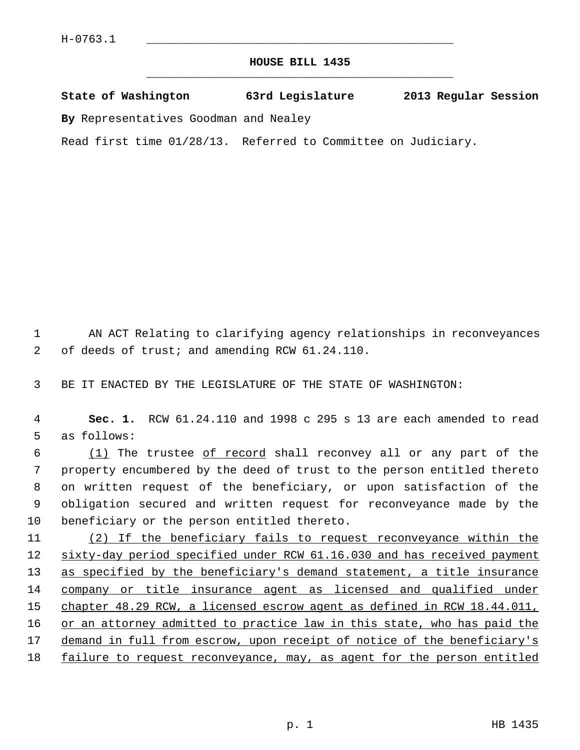## **HOUSE BILL 1435** \_\_\_\_\_\_\_\_\_\_\_\_\_\_\_\_\_\_\_\_\_\_\_\_\_\_\_\_\_\_\_\_\_\_\_\_\_\_\_\_\_\_\_\_\_

## **State of Washington 63rd Legislature 2013 Regular Session**

**By** Representatives Goodman and Nealey

Read first time 01/28/13. Referred to Committee on Judiciary.

 1 AN ACT Relating to clarifying agency relationships in reconveyances 2 of deeds of trust; and amending RCW 61.24.110.

3 BE IT ENACTED BY THE LEGISLATURE OF THE STATE OF WASHINGTON:

 4 **Sec. 1.** RCW 61.24.110 and 1998 c 295 s 13 are each amended to read 5 as follows:

 6 (1) The trustee of record shall reconvey all or any part of the 7 property encumbered by the deed of trust to the person entitled thereto 8 on written request of the beneficiary, or upon satisfaction of the 9 obligation secured and written request for reconveyance made by the 10 beneficiary or the person entitled thereto.

11 (2) If the beneficiary fails to request reconveyance within the 12 sixty-day period specified under RCW 61.16.030 and has received payment 13 as specified by the beneficiary's demand statement, a title insurance 14 company or title insurance agent as licensed and qualified under 15 chapter 48.29 RCW, a licensed escrow agent as defined in RCW 18.44.011, 16 or an attorney admitted to practice law in this state, who has paid the 17 demand in full from escrow, upon receipt of notice of the beneficiary's 18 failure to request reconveyance, may, as agent for the person entitled